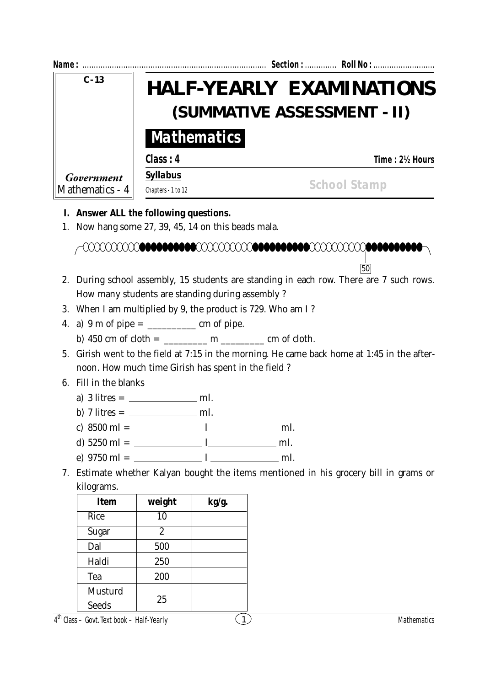| Name:           |                    |  | Section:  Roll No :                                            |  |
|-----------------|--------------------|--|----------------------------------------------------------------|--|
| $C - 13$        |                    |  | <b>HALF-YEARLY EXAMINATIONS</b><br>(SUMMATIVE ASSESSMENT - II) |  |
|                 | <b>Mathematics</b> |  |                                                                |  |
|                 | Class: 4           |  | Time: 2½ Hours                                                 |  |
| Government      | <b>Syllabus</b>    |  | <b>School Stamp</b>                                            |  |
| Mathematics - 4 | Chapters - 1 to 12 |  |                                                                |  |

## **I. Answer ALL the following questions.**

1. Now hang some 27, 39, 45, 14 on this beads mala.



- 2. During school assembly, 15 students are standing in each row. There are 7 such rows. How many students are standing during assembly ?
- 3. When I am multiplied by 9, the product is 729. Who am I ?
- 4. a) 9 m of pipe = \_\_\_\_\_\_\_\_\_\_ cm of pipe.
	- b)  $450 \text{ cm of cloth} =$  m cm of cloth.
- 5. Girish went to the field at 7:15 in the morning. He came back home at 1:45 in the afternoon. How much time Girish has spent in the field ?

## 6. Fill in the blanks

- a)  $3$  litres =  $\frac{1}{2}$  m*l*.
- b) 7 litres =  $\frac{mL}{m}$
- c)  $8500 \text{ m}l =$  <u>*l*</u> ml.
- d)  $5250 \text{ m}l =$  <u>*ml*.</u>
- e)  $9750 \text{ m}l =$  <u>*l*</u> m*l*.
- 7. Estimate whether Kalyan bought the items mentioned in his grocery bill in grams or kilograms.

| Item    | weight         | kg/g. |
|---------|----------------|-------|
| Rice    | 10             |       |
| Sugar   | $\overline{2}$ |       |
| Dal     | 500            |       |
| Haldi   | 250            |       |
| Tea     | 200            |       |
| Musturd |                |       |
| Seeds   | 25             |       |

 $4^{\text{th}}$  Class – Govt. Text book – Half-Yearly (1) and the Class – Govt. Text book – Half-Yearly